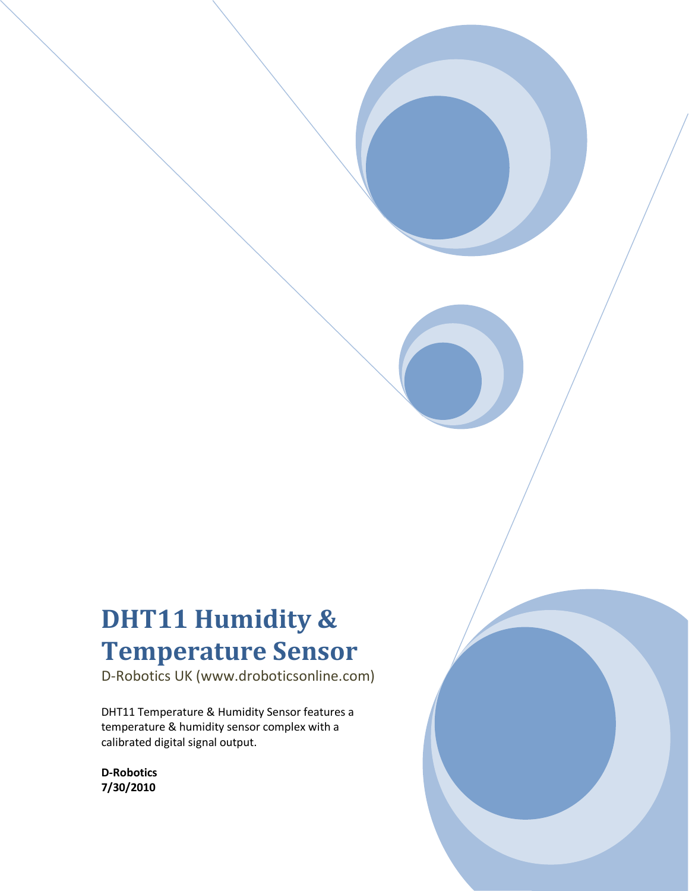# **DHT11 Humidity & Temperature Sensor**

D-Robotics UK (www.droboticsonline.com)

DHT11 Temperature & Humidity Sensor features a temperature & humidity sensor complex with a calibrated digital signal output.

**D-Robotics 7/30/2010**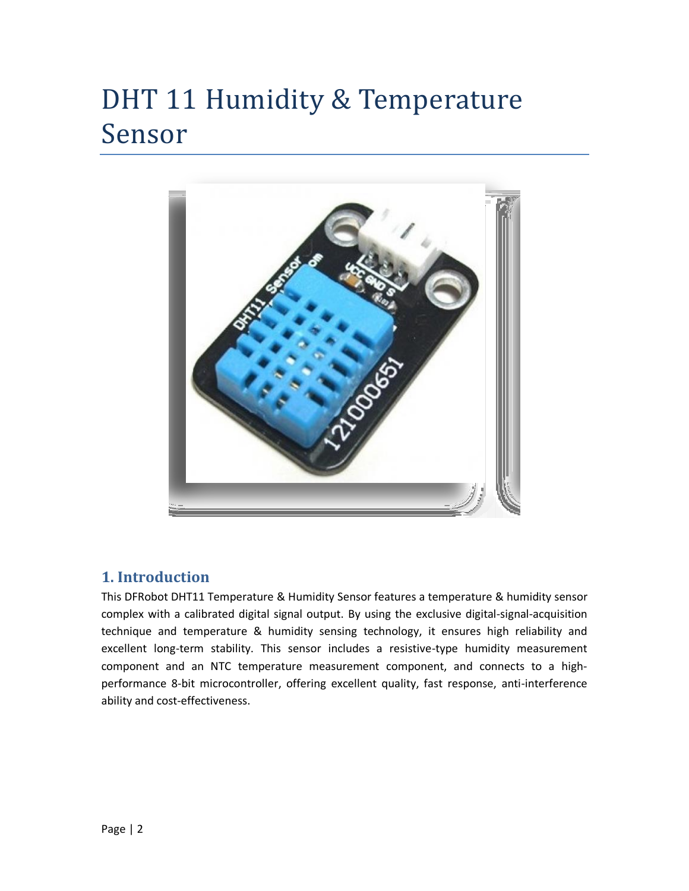# DHT 11 Humidity & Temperature Sensor



## **1. Introduction**

This DFRobot DHT11 Temperature & Humidity Sensor features a temperature & humidity sensor complex with a calibrated digital signal output. By using the exclusive digital-signal-acquisition technique and temperature & humidity sensing technology, it ensures high reliability and excellent long-term stability. This sensor includes a resistive-type humidity measurement component and an NTC temperature measurement component, and connects to a highperformance 8-bit microcontroller, offering excellent quality, fast response, anti-interference ability and cost-effectiveness.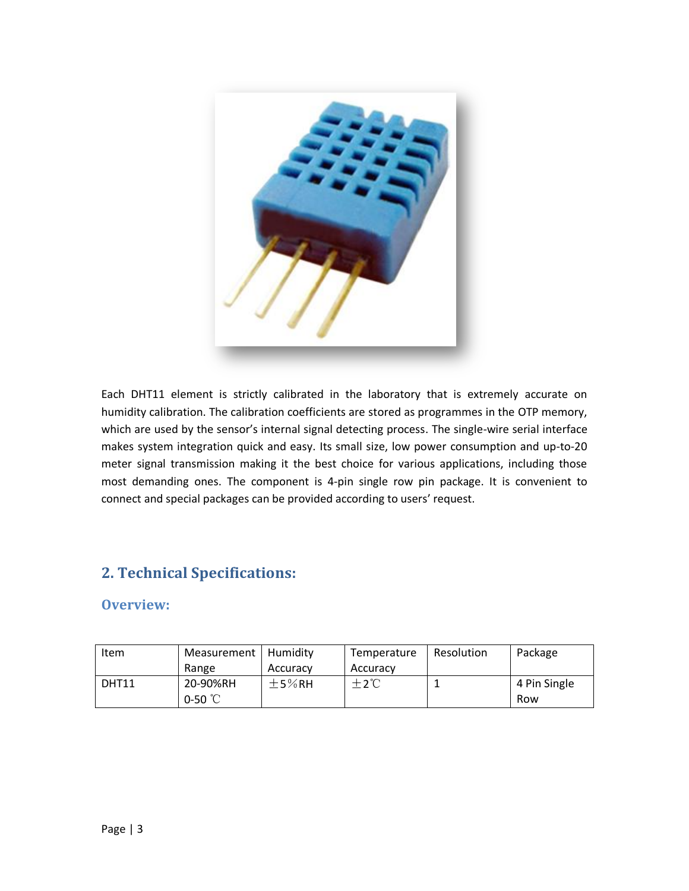

Each DHT11 element is strictly calibrated in the laboratory that is extremely accurate on humidity calibration. The calibration coefficients are stored as programmes in the OTP memory, which are used by the sensor's internal signal detecting process. The single-wire serial interface makes system integration quick and easy. Its small size, low power consumption and up-to-20 meter signal transmission making it the best choice for various applications, including those most demanding ones. The component is 4-pin single row pin package. It is convenient to connect and special packages can be provided according to users' request.

## **2. Technical Specifications:**

### **Overview:**

| Item              | Measurement   Humidity |          | Temperature    | Resolution | Package      |
|-------------------|------------------------|----------|----------------|------------|--------------|
|                   | Range                  | Accuracy | Accuracy       |            |              |
| DHT <sub>11</sub> | 20-90%RH               | $±5%$ RH | $±2^{\circ}$ C |            | 4 Pin Single |
|                   | $0-50$ $\degree$ C     |          |                |            | Row          |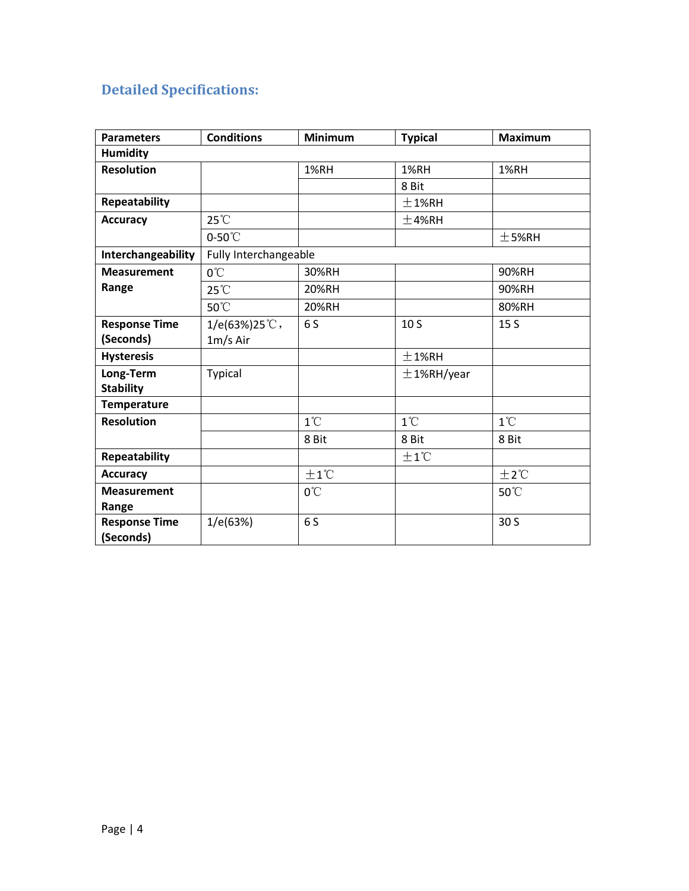# **Detailed Specifications:**

| <b>Parameters</b>    | <b>Conditions</b>              | <b>Minimum</b> | <b>Typical</b>  | <b>Maximum</b> |  |  |
|----------------------|--------------------------------|----------------|-----------------|----------------|--|--|
| <b>Humidity</b>      |                                |                |                 |                |  |  |
| <b>Resolution</b>    |                                | 1%RH           | 1%RH            | <b>1%RH</b>    |  |  |
|                      |                                |                | 8 Bit           |                |  |  |
| Repeatability        |                                |                | ±1%RH           |                |  |  |
| <b>Accuracy</b>      | $25^{\circ}$ C                 |                | ±4%RH           |                |  |  |
|                      | $0-50^{\circ}$ C               |                |                 | $±$ 5%RH       |  |  |
| Interchangeability   | Fully Interchangeable          |                |                 |                |  |  |
| <b>Measurement</b>   | $0^{\circ}$ C                  | 30%RH          |                 | 90%RH          |  |  |
| Range                | $25^{\circ}$ C                 | 20%RH          |                 | 90%RH          |  |  |
|                      | 50°C                           | 20%RH          |                 | 80%RH          |  |  |
| <b>Response Time</b> | $1/e(63%)25^{\circ}\text{C}$ , | 6 S            | 10 <sub>S</sub> | 15S            |  |  |
| (Seconds)            | 1m/s Air                       |                |                 |                |  |  |
| <b>Hysteresis</b>    |                                |                | ±1%RH           |                |  |  |
| Long-Term            | Typical                        |                | $±$ 1%RH/year   |                |  |  |
| <b>Stability</b>     |                                |                |                 |                |  |  |
| <b>Temperature</b>   |                                |                |                 |                |  |  |
| <b>Resolution</b>    |                                | $1^{\circ}$ C  | $1^{\circ}$ C   | $1^{\circ}$ C  |  |  |
|                      |                                | 8 Bit          | 8 Bit           | 8 Bit          |  |  |
| Repeatability        |                                |                | $±1^{\circ}C$   |                |  |  |
| <b>Accuracy</b>      |                                | $±1^{\circ}C$  |                 | $±2^{\circ}$ C |  |  |
| <b>Measurement</b>   |                                | $0^{\circ}$ C  |                 | 50°C           |  |  |
| Range                |                                |                |                 |                |  |  |
| <b>Response Time</b> | 1/e(63%)                       | 6 S            |                 | 30 S           |  |  |
| (Seconds)            |                                |                |                 |                |  |  |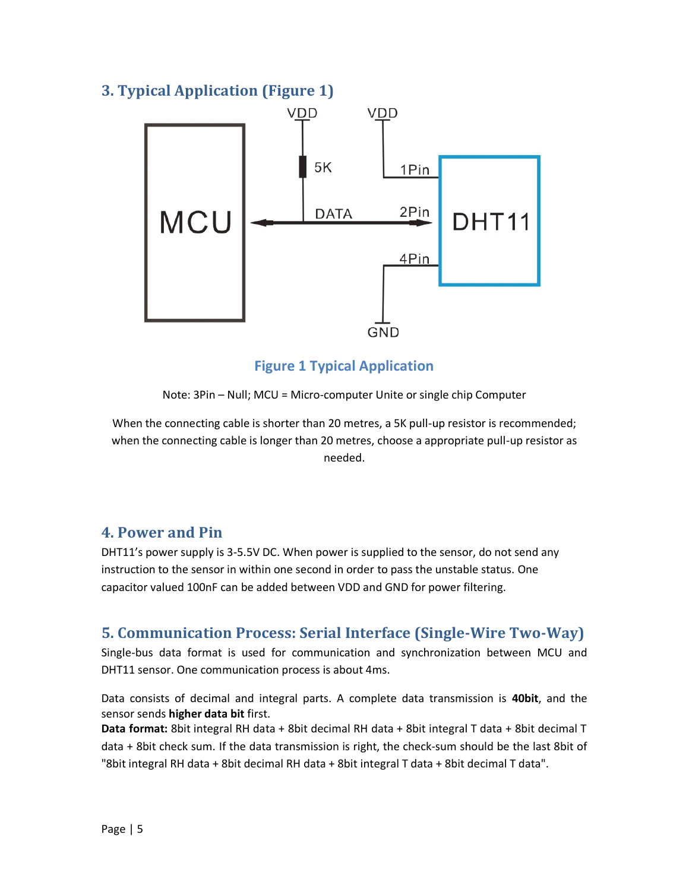## **3. Typical Application (Figure 1)**



**Figure 1 Typical Application**

Note: 3Pin – Null; MCU = Micro-computer Unite or single chip Computer

When the connecting cable is shorter than 20 metres, a 5K pull-up resistor is recommended; when the connecting cable is longer than 20 metres, choose a appropriate pull-up resistor as needed.

## **4. Power and Pin**

DHT11's power supply is 3-5.5V DC. When power is supplied to the sensor, do not send any instruction to the sensor in within one second in order to pass the unstable status. One capacitor valued 100nF can be added between VDD and GND for power filtering.

## **5. Communication Process: Serial Interface (Single-Wire Two-Way)**

Single-bus data format is used for communication and synchronization between MCU and DHT11 sensor. One communication process is about 4ms.

Data consists of decimal and integral parts. A complete data transmission is **40bit**, and the sensor sends **higher data bit** first.

**Data format:** 8bit integral RH data + 8bit decimal RH data + 8bit integral T data + 8bit decimal T data + 8bit check sum. If the data transmission is right, the check-sum should be the last 8bit of "8bit integral RH data + 8bit decimal RH data + 8bit integral T data + 8bit decimal T data".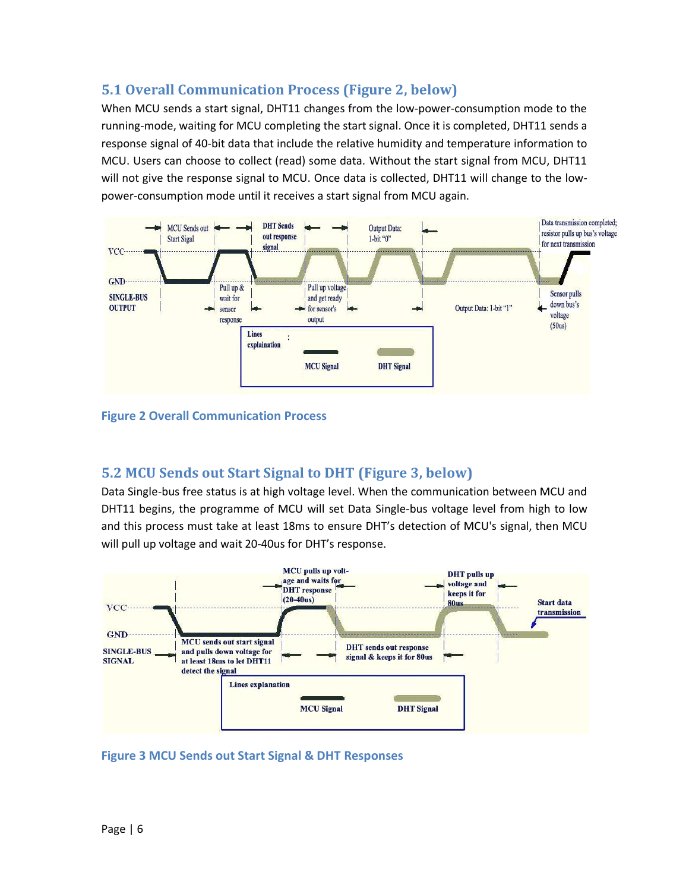## **5.1 Overall Communication Process (Figure 2, below)**

When MCU sends a start signal, DHT11 changes from the low-power-consumption mode to the running-mode, waiting for MCU completing the start signal. Once it is completed, DHT11 sends a response signal of 40-bit data that include the relative humidity and temperature information to MCU. Users can choose to collect (read) some data. Without the start signal from MCU, DHT11 will not give the response signal to MCU. Once data is collected, DHT11 will change to the lowpower-consumption mode until it receives a start signal from MCU again.



**Figure 2 Overall Communication Process**

## **5.2 MCU Sends out Start Signal to DHT (Figure 3, below)**

Data Single-bus free status is at high voltage level. When the communication between MCU and DHT11 begins, the programme of MCU will set Data Single-bus voltage level from high to low and this process must take at least 18ms to ensure DHT's detection of MCU's signal, then MCU will pull up voltage and wait 20-40us for DHT's response.



**Figure 3 MCU Sends out Start Signal & DHT Responses**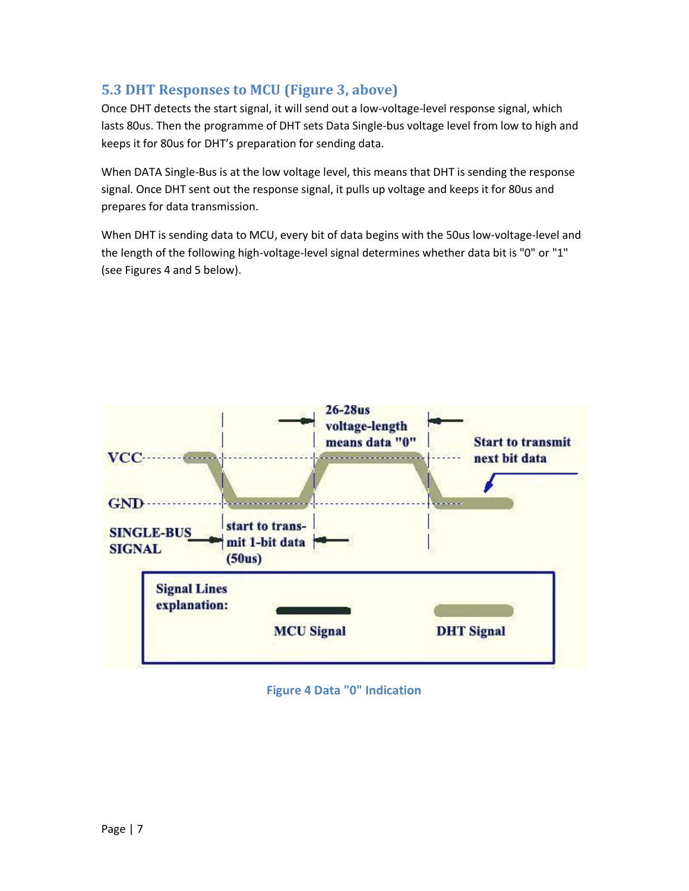## **5.3 DHT Responses to MCU (Figure 3, above)**

Once DHT detects the start signal, it will send out a low-voltage-level response signal, which lasts 80us. Then the programme of DHT sets Data Single-bus voltage level from low to high and keeps it for 80us for DHT's preparation for sending data.

When DATA Single-Bus is at the low voltage level, this means that DHT is sending the response signal. Once DHT sent out the response signal, it pulls up voltage and keeps it for 80us and prepares for data transmission.

When DHT is sending data to MCU, every bit of data begins with the 50us low-voltage-level and the length of the following high-voltage-level signal determines whether data bit is "0" or "1" (see Figures 4 and 5 below).



**Figure 4 Data "0" Indication**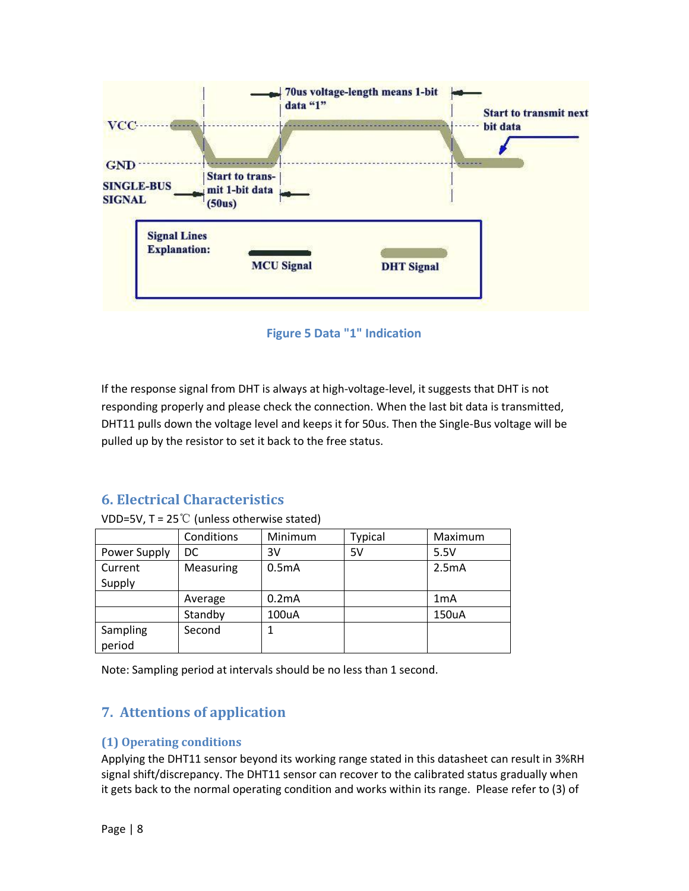



If the response signal from DHT is always at high-voltage-level, it suggests that DHT is not responding properly and please check the connection. When the last bit data is transmitted, DHT11 pulls down the voltage level and keeps it for 50us. Then the Single-Bus voltage will be pulled up by the resistor to set it back to the free status.

### **6. Electrical Characteristics**

|  | VDD=5V, $T = 25^{\circ}C$ (unless otherwise stated) |
|--|-----------------------------------------------------|
|--|-----------------------------------------------------|

|              | Conditions | Minimum | <b>Typical</b> | Maximum          |
|--------------|------------|---------|----------------|------------------|
| Power Supply | DC         | 3V      | 5V             | 5.5V             |
| Current      | Measuring  | 0.5mA   |                | 2.5mA            |
| Supply       |            |         |                |                  |
|              | Average    | 0.2mA   |                | 1 <sub>m</sub> A |
|              | Standby    | 100uA   |                | 150uA            |
| Sampling     | Second     |         |                |                  |
| period       |            |         |                |                  |

Note: Sampling period at intervals should be no less than 1 second.

### **7. Attentions of application**

#### **(1) Operating conditions**

Applying the DHT11 sensor beyond its working range stated in this datasheet can result in 3%RH signal shift/discrepancy. The DHT11 sensor can recover to the calibrated status gradually when it gets back to the normal operating condition and works within its range. Please refer to (3) of